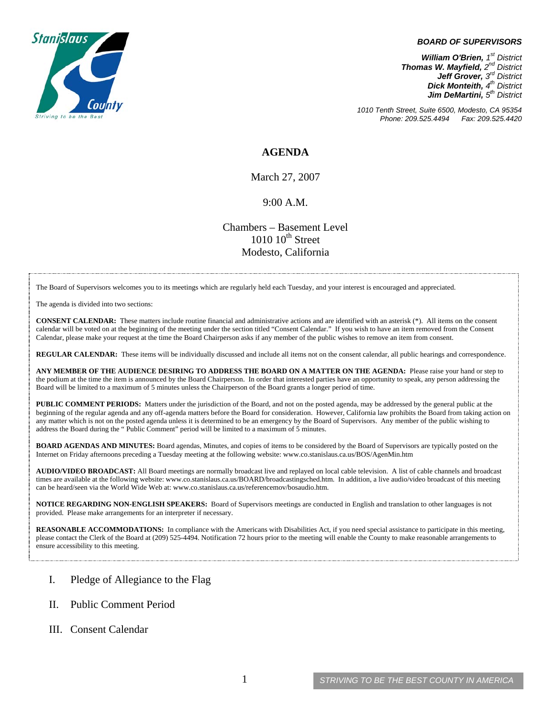

## *BOARD OF SUPERVISORS*

*William O'Brien, 1<sup>st</sup> District Thomas W. Mayfield, 2nd District Jeff Grover, 3rd District Dick Monteith, 4th District Jim DeMartini, 5th District*

*1010 Tenth Street, Suite 6500, Modesto, CA 95354 Phone: 209.525.4494 Fax: 209.525.4420*

## **AGENDA**

March 27, 2007

## 9:00 A.M.

Chambers – Basement Level  $1010~10<sup>th</sup>$  Street Modesto, California

The Board of Supervisors welcomes you to its meetings which are regularly held each Tuesday, and your interest is encouraged and appreciated.

The agenda is divided into two sections:

**CONSENT CALENDAR:** These matters include routine financial and administrative actions and are identified with an asterisk (\*). All items on the consent calendar will be voted on at the beginning of the meeting under the section titled "Consent Calendar." If you wish to have an item removed from the Consent Calendar, please make your request at the time the Board Chairperson asks if any member of the public wishes to remove an item from consent.

**REGULAR CALENDAR:** These items will be individually discussed and include all items not on the consent calendar, all public hearings and correspondence.

**ANY MEMBER OF THE AUDIENCE DESIRING TO ADDRESS THE BOARD ON A MATTER ON THE AGENDA:** Please raise your hand or step to the podium at the time the item is announced by the Board Chairperson. In order that interested parties have an opportunity to speak, any person addressing the Board will be limited to a maximum of 5 minutes unless the Chairperson of the Board grants a longer period of time.

**PUBLIC COMMENT PERIODS:** Matters under the jurisdiction of the Board, and not on the posted agenda, may be addressed by the general public at the beginning of the regular agenda and any off-agenda matters before the Board for consideration. However, California law prohibits the Board from taking action on any matter which is not on the posted agenda unless it is determined to be an emergency by the Board of Supervisors. Any member of the public wishing to address the Board during the " Public Comment" period will be limited to a maximum of 5 minutes.

**BOARD AGENDAS AND MINUTES:** Board agendas, Minutes, and copies of items to be considered by the Board of Supervisors are typically posted on the Internet on Friday afternoons preceding a Tuesday meeting at the following website: [www.co.stanislaus.ca.us/BOS/AgenMin.htm](http://www.co.stanislaus.ca.us/BOS/AgenMin.htm) 

**AUDIO/VIDEO BROADCAST:** All Board meetings are normally broadcast live and replayed on local cable television. A list of cable channels and broadcast times are available at the following website: [www.co.stanislaus.ca.us/BOARD/broadcastingsched.htm](http://www.co.stanislaus.ca.us/BOARD/broadcastingsched.htm). In addition, a live audio/video broadcast of this meeting can be heard/seen via the World Wide Web at: [www.co.stanislaus.ca.us/referencemov/bosaudio.htm.](http://www.co.stanislaus.ca.us/referencemov/bosaudio.htm)

**NOTICE REGARDING NON-ENGLISH SPEAKERS:** Board of Supervisors meetings are conducted in English and translation to other languages is not provided. Please make arrangements for an interpreter if necessary.

**REASONABLE ACCOMMODATIONS:** In compliance with the Americans with Disabilities Act, if you need special assistance to participate in this meeting, please contact the Clerk of the Board at (209) 525-4494. Notification 72 hours prior to the meeting will enable the County to make reasonable arrangements to ensure accessibility to this meeting.

- I. Pledge of Allegiance to the Flag
- II. Public Comment Period
- III. Consent Calendar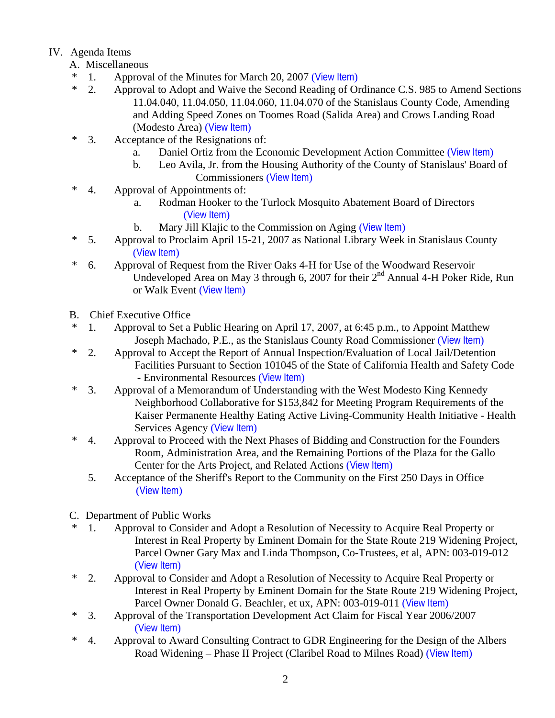## IV. Agenda Items

- A. Miscellaneous
- \* 1. Approval of the Minutes for March 20, 2007 ([View Item](http://www.co.stanislaus.ca.us/bos/minutes/2007/min03-20-07.pdf))
- \* 2. Approval to Adopt and Waive the Second Reading of Ordinance C.S. 985 to Amend Sections 11.04.040, 11.04.050, 11.04.060, 11.04.070 of the Stanislaus County Code, Amending and Adding Speed Zones on Toomes Road (Salida Area) and Crows Landing Road (Modesto Area) ([View Item](http://www.co.stanislaus.ca.us/bos/agenda/2007/20070327/A02.pdf))
- \* 3. Acceptance of the Resignations of:
	- a. Daniel Ortiz from the Economic Development Action Committee ([View Item](http://www.co.stanislaus.ca.us/bos/agenda/2007/20070327/A03a.pdf))
	- b. Leo Avila, Jr. from the Housing Authority of the County of Stanislaus' Board of Commissioners ([View Item](http://www.co.stanislaus.ca.us/bos/agenda/2007/20070327/A03b.pdf))
- \* 4. Approval of Appointments of:
	- a. Rodman Hooker to the Turlock Mosquito Abatement Board of Directors ([View Item](http://www.co.stanislaus.ca.us/bos/agenda/2007/20070327/A04a.pdf))
	- b. Mary Jill Klajic to the Commission on Aging ([View Item](http://www.co.stanislaus.ca.us/bos/agenda/2007/20070327/A04b.pdf))
- \* 5. Approval to Proclaim April 15-21, 2007 as National Library Week in Stanislaus County ([View Item](http://www.co.stanislaus.ca.us/bos/agenda/2007/20070327/A05.pdf))
- \* 6. Approval of Request from the River Oaks 4-H for Use of the Woodward Reservoir Undeveloped Area on May 3 through 6, 2007 for their  $2<sup>nd</sup>$  Annual 4-H Poker Ride, Run or Walk Event ([View Item](http://www.co.stanislaus.ca.us/bos/agenda/2007/20070327/A06.pdf))
- B. Chief Executive Office
- \* 1. Approval to Set a Public Hearing on April 17, 2007, at 6:45 p.m., to Appoint Matthew Joseph Machado, P.E., as the Stanislaus County Road Commissioner ([View Item](http://www.co.stanislaus.ca.us/bos/agenda/2007/20070327/B01.pdf))
- \* 2. Approval to Accept the Report of Annual Inspection/Evaluation of Local Jail/Detention Facilities Pursuant to Section 101045 of the State of California Health and Safety Code - Environmental Resources ([View Item](http://www.co.stanislaus.ca.us/bos/agenda/2007/20070327/B02.pdf))
- \* 3. Approval of a Memorandum of Understanding with the West Modesto King Kennedy Neighborhood Collaborative for \$153,842 for Meeting Program Requirements of the Kaiser Permanente Healthy Eating Active Living-Community Health Initiative - Health Services Agency ([View Item](http://www.co.stanislaus.ca.us/bos/agenda/2007/20070327/B03.pdf))
- \* 4. Approval to Proceed with the Next Phases of Bidding and Construction for the Founders Room, Administration Area, and the Remaining Portions of the Plaza for the Gallo Center for the Arts Project, and Related Actions ([View Item](http://www.co.stanislaus.ca.us/bos/agenda/2007/20070327/B04.pdf))
	- 5. Acceptance of the Sheriff's Report to the Community on the First 250 Days in Office ([View Item](http://www.co.stanislaus.ca.us/bos/agenda/2007/20070327/B05.pdf))
- C. Department of Public Works
- \* 1. Approval to Consider and Adopt a Resolution of Necessity to Acquire Real Property or Interest in Real Property by Eminent Domain for the State Route 219 Widening Project, Parcel Owner Gary Max and Linda Thompson, Co-Trustees, et al, APN: 003-019-012 ([View Item](http://www.co.stanislaus.ca.us/bos/agenda/2007/20070327/C01.pdf))
- \* 2. Approval to Consider and Adopt a Resolution of Necessity to Acquire Real Property or Interest in Real Property by Eminent Domain for the State Route 219 Widening Project, Parcel Owner Donald G. Beachler, et ux, APN: 003-019-011 ([View Item](http://www.co.stanislaus.ca.us/bos/agenda/2007/20070327/C02.pdf))
- \* 3. Approval of the Transportation Development Act Claim for Fiscal Year 2006/2007 ([View Item](http://www.co.stanislaus.ca.us/bos/agenda/2007/20070327/C03.pdf))
- \* 4. Approval to Award Consulting Contract to GDR Engineering for the Design of the Albers Road Widening – Phase II Project (Claribel Road to Milnes Road) ([View Item](http://www.co.stanislaus.ca.us/bos/agenda/2007/20070327/C04.pdf))